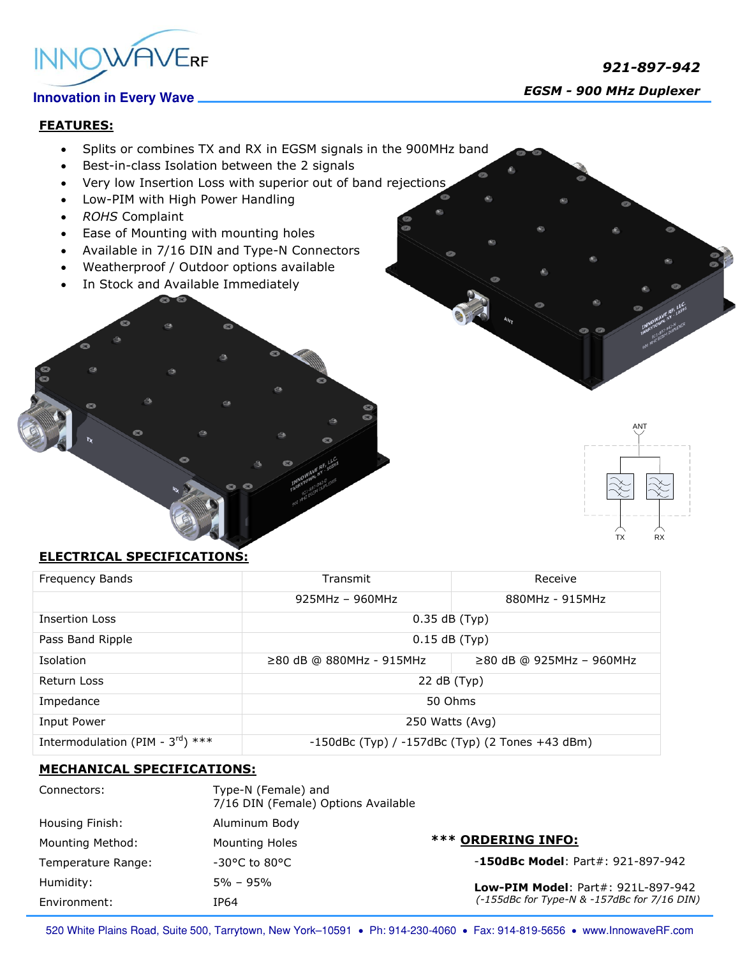

# **Innovation in Every Wave**

 *921-897-942 EGSM - 900 MHz Duplexer* 

## **FEATURES:**

- Splits or combines TX and RX in EGSM signals in the 900MHz band
- Best-in-class Isolation between the 2 signals
- Very low Insertion Loss with superior out of band rejections
- Low-PIM with High Power Handling
- *ROHS* Complaint
- Ease of Mounting with mounting holes
- Available in 7/16 DIN and Type-N Connectors
- Weatherproof / Outdoor options available
- In Stock and Available Immediately

m.



### **ELECTRICAL SPECIFICATIONS:**

| Frequency Bands                              | Transmit                                              | Receive                        |
|----------------------------------------------|-------------------------------------------------------|--------------------------------|
|                                              | $925MHz - 960MHz$                                     | 880MHz - 915MHz                |
| <b>Insertion Loss</b>                        | $0.35$ dB $(Typ)$                                     |                                |
| Pass Band Ripple                             | $0.15$ dB (Typ)                                       |                                |
| Isolation                                    | ≥80 dB @ 880MHz - 915MHz                              | $\geq$ 80 dB @ 925MHz - 960MHz |
| Return Loss                                  | 22 dB (Typ)                                           |                                |
| Impedance                                    | 50 Ohms                                               |                                |
| Input Power                                  | 250 Watts (Avg)                                       |                                |
| Intermodulation (PIM - $3^{\text{rd}}$ ) *** | $-150$ dBc (Typ) / $-157$ dBc (Typ) (2 Tones +43 dBm) |                                |

### **MECHANICAL SPECIFICATIONS:**

| Connectors:        | Type-N (Female) and<br>7/16 DIN (Female) Options Available |                                                                                          |
|--------------------|------------------------------------------------------------|------------------------------------------------------------------------------------------|
| Housing Finish:    | Aluminum Body                                              |                                                                                          |
| Mounting Method:   | <b>Mounting Holes</b>                                      | *** ORDERING INFO:                                                                       |
| Temperature Range: | $-30^{\circ}$ C to 80 $^{\circ}$ C                         | $-150$ dBc Model: Part#: 921-897-942                                                     |
| Humidity:          | $5\% - 95\%$                                               | <b>Low-PIM Model: Part#: 921L-897-942</b><br>(-155dBc for Type-N & -157dBc for 7/16 DIN) |
| Environment:       | IP64                                                       |                                                                                          |

520 White Plains Road, Suite 500, Tarrytown, New York-10591 . Ph: 914-230-4060 . Fax: 914-819-5656 . www.InnowaveRF.com